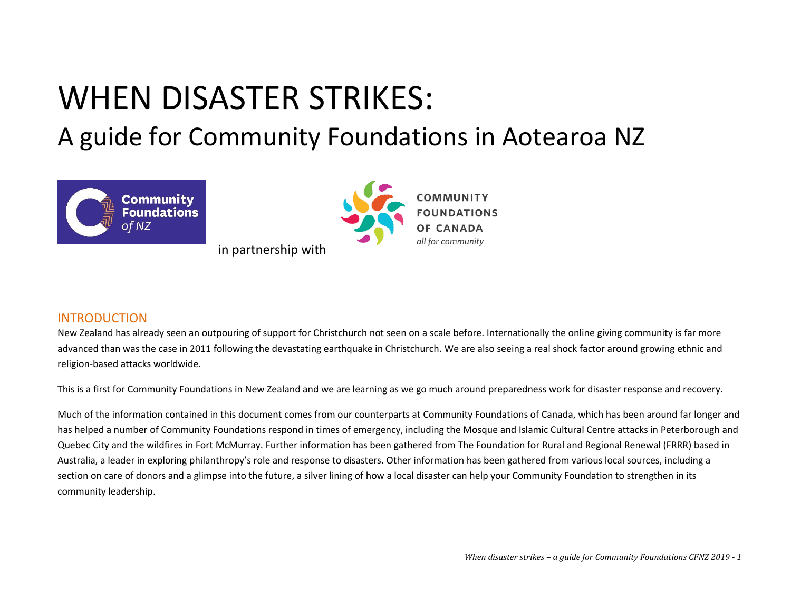# WHEN DISASTER STRIKES:

A guide for Community Foundations in Aotearoa NZ



## INTRODUCTION

New Zealand has already seen an outpouring of support for Christchurch not seen on a scale before. Internationally the online giving community is far more advanced than was the case in 2011 following the devastating earthquake in Christchurch. We are also seeing a real shock factor around growing ethnic and religion-based attacks worldwide.

This is a first for Community Foundations in New Zealand and we are learning as we go much around preparedness work for disaster response and recovery.

Much of the information contained in this document comes from our counterparts at Community Foundations of Canada, which has been around far longer and has helped a number of Community Foundations respond in times of emergency, including the Mosque and Islamic Cultural Centre attacks in Peterborough and Quebec City and the wildfires in Fort McMurray. Further information has been gathered from The Foundation for Rural and Regional Renewal (FRRR) based in Australia, a leader in exploring philanthropy's role and response to disasters. Other information has been gathered from various local sources, including a section on care of donors and a glimpse into the future, a silver lining of how a local disaster can help your Community Foundation to strengthen in its community leadership.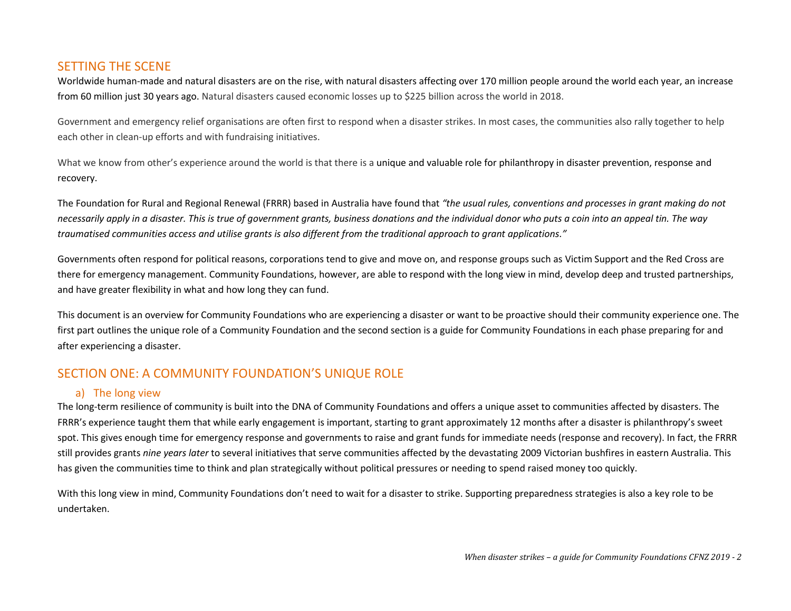## SETTING THE SCENE

Worldwide human-made and natural disasters are on the rise, with natural disasters affecting over 170 million people around the world each year, an increase from 60 million just 30 years ago. Natural disasters caused economic losses up to \$225 billion across the world in 2018.

Government and emergency relief organisations are often first to respond when a disaster strikes. In most cases, the communities also rally together to help each other in clean-up efforts and with fundraising initiatives.

What we know from other's experience around the world is that there is a unique and valuable role for philanthropy in disaster prevention, response and recovery.

The Foundation for Rural and Regional Renewal (FRRR) based in Australia have found that *"the usual rules, conventions and processes in grant making do not necessarily apply in a disaster. This is true of government grants, business donations and the individual donor who puts a coin into an appeal tin. The way traumatised communities access and utilise grants is also different from the traditional approach to grant applications."* 

Governments often respond for political reasons, corporations tend to give and move on, and response groups such as Victim Support and the Red Cross are there for emergency management. Community Foundations, however, are able to respond with the long view in mind, develop deep and trusted partnerships, and have greater flexibility in what and how long they can fund.

This document is an overview for Community Foundations who are experiencing a disaster or want to be proactive should their community experience one. The first part outlines the unique role of a Community Foundation and the second section is a guide for Community Foundations in each phase preparing for and after experiencing a disaster.

# SECTION ONE: A COMMUNITY FOUNDATION'S UNIQUE ROLE

### a) The long view

The long-term resilience of community is built into the DNA of Community Foundations and offers a unique asset to communities affected by disasters. The FRRR's experience taught them that while early engagement is important, starting to grant approximately 12 months after a disaster is philanthropy's sweet spot. This gives enough time for emergency response and governments to raise and grant funds for immediate needs (response and recovery). In fact, the FRRR still provides grants *nine years later* to several initiatives that serve communities affected by the devastating 2009 Victorian bushfires in eastern Australia. This has given the communities time to think and plan strategically without political pressures or needing to spend raised money too quickly.

With this long view in mind, Community Foundations don't need to wait for a disaster to strike. Supporting preparedness strategies is also a key role to be undertaken.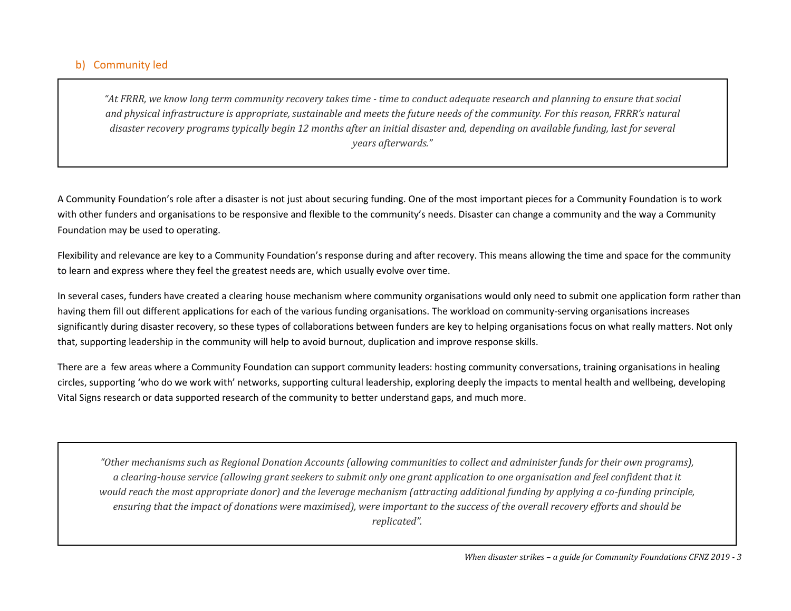## b) Community led

"At FRRR, we know long term community recovery takes time - time to conduct adequate research and planning to ensure that social *and physical infrastructure is appropriate, sustainable and meets the future needs of the community. For this reason, FRRR's natural disaster recovery programs typically begin 12 months after an initial disaster and, depending on available funding, last for several years afterwards."* 

A Community Foundation's role after a disaster is not just about securing funding. One of the most important pieces for a Community Foundation is to work with other funders and organisations to be responsive and flexible to the community's needs. Disaster can change a community and the way a Community Foundation may be used to operating.

Flexibility and relevance are key to a Community Foundation's response during and after recovery. This means allowing the time and space for the community to learn and express where they feel the greatest needs are, which usually evolve over time.

In several cases, funders have created a clearing house mechanism where community organisations would only need to submit one application form rather than having them fill out different applications for each of the various funding organisations. The workload on community-serving organisations increases significantly during disaster recovery, so these types of collaborations between funders are key to helping organisations focus on what really matters. Not only that, supporting leadership in the community will help to avoid burnout, duplication and improve response skills.

There are a few areas where a Community Foundation can support community leaders: hosting community conversations, training organisations in healing circles, supporting 'who do we work with' networks, supporting cultural leadership, exploring deeply the impacts to mental health and wellbeing, developing Vital Signs research or data supported research of the community to better understand gaps, and much more.

*"Other mechanisms such as Regional Donation Accounts (allowing communities to collect and administer funds for their own programs), a clearing-house service (allowing grant seekers to submit only one grant application to one organisation and feel confident that it would reach the most appropriate donor) and the leverage mechanism (attracting additional funding by applying a co-funding principle, ensuring that the impact of donations were maximised), were important to the success of the overall recovery efforts and should be replicated".*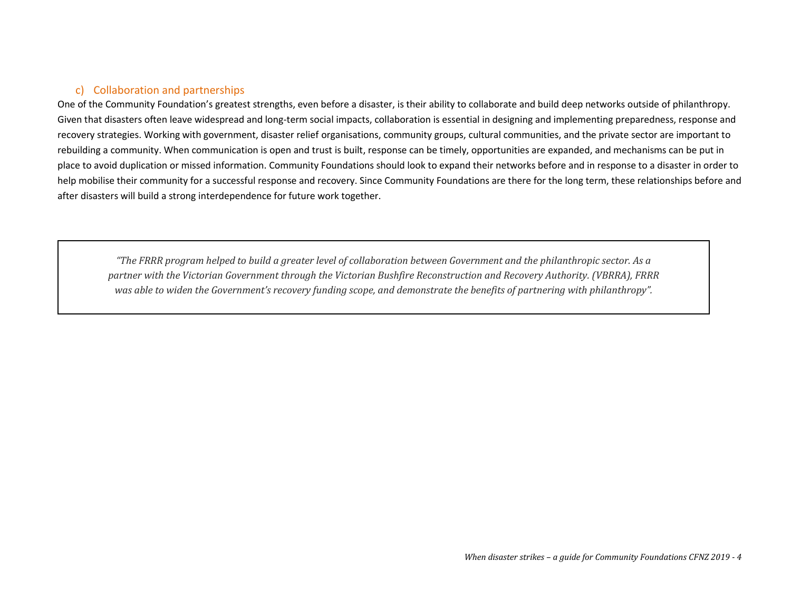## c) Collaboration and partnerships

One of the Community Foundation's greatest strengths, even before a disaster, is their ability to collaborate and build deep networks outside of philanthropy. Given that disasters often leave widespread and long-term social impacts, collaboration is essential in designing and implementing preparedness, response and recovery strategies. Working with government, disaster relief organisations, community groups, cultural communities, and the private sector are important to rebuilding a community. When communication is open and trust is built, response can be timely, opportunities are expanded, and mechanisms can be put in place to avoid duplication or missed information. Community Foundations should look to expand their networks before and in response to a disaster in order to help mobilise their community for a successful response and recovery. Since Community Foundations are there for the long term, these relationships before and after disasters will build a strong interdependence for future work together.

*"The FRRR program helped to build a greater level of collaboration between Government and the philanthropic sector. As a partner with the Victorian Government through the Victorian Bushfire Reconstruction and Recovery Authority. (VBRRA), FRRR was able to widen the Government's recovery funding scope, and demonstrate the benefits of partnering with philanthropy".*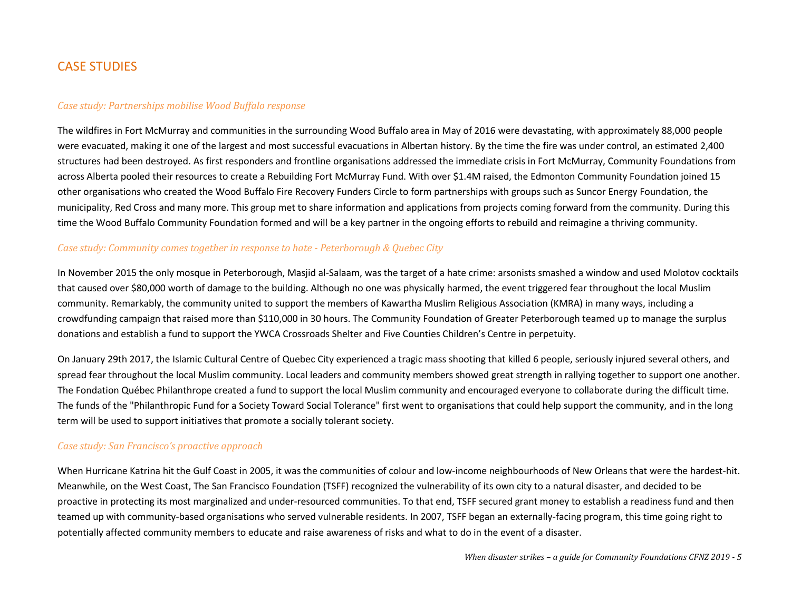## CASE STUDIES

#### *Case study: Partnerships mobilise Wood Buffalo response*

The wildfires in Fort McMurray and communities in the surrounding Wood Buffalo area in May of 2016 were devastating, with approximately 88,000 people were evacuated, making it one of the largest and most successful evacuations in Albertan history. By the time the fire was under control, an estimated 2,400 structures had been destroyed. As first responders and frontline organisations addressed the immediate crisis in Fort McMurray, Community Foundations from across Alberta pooled their resources to create a Rebuilding Fort McMurray Fund. With over \$1.4M raised, the Edmonton Community Foundation joined 15 other organisations who created the Wood Buffalo Fire Recovery Funders Circle to form partnerships with groups such as Suncor Energy Foundation, the municipality, Red Cross and many more. This group met to share information and applications from projects coming forward from the community. During this time the Wood Buffalo Community Foundation formed and will be a key partner in the ongoing efforts to rebuild and reimagine a thriving community.

#### *Case study: Community comes together in response to hate - Peterborough & Quebec City*

In November 2015 the only mosque in Peterborough, Masjid al-Salaam, was the target of a hate crime: arsonists smashed a window and used Molotov cocktails that caused over \$80,000 worth of damage to the building. Although no one was physically harmed, the event triggered fear throughout the local Muslim community. Remarkably, the community united to support the members of Kawartha Muslim Religious Association (KMRA) in many ways, including a crowdfunding campaign that raised more than \$110,000 in 30 hours. The Community Foundation of Greater Peterborough teamed up to manage the surplus donations and establish a fund to support the YWCA Crossroads Shelter and Five Counties Children's Centre in perpetuity.

On January 29th 2017, the Islamic Cultural Centre of Quebec City experienced a tragic mass shooting that killed 6 people, seriously injured several others, and spread fear throughout the local Muslim community. Local leaders and community members showed great strength in rallying together to support one another. The Fondation Québec Philanthrope created a fund to support the local Muslim community and encouraged everyone to collaborate during the difficult time. The funds of the "Philanthropic Fund for a Society Toward Social Tolerance" first went to organisations that could help support the community, and in the long term will be used to support initiatives that promote a socially tolerant society.

#### *Case study: San Francisco's proactive approach*

When Hurricane Katrina hit the Gulf Coast in 2005, it was the communities of colour and low-income neighbourhoods of New Orleans that were the hardest-hit. Meanwhile, on the West Coast, The San Francisco Foundation (TSFF) recognized the vulnerability of its own city to a natural disaster, and decided to be proactive in protecting its most marginalized and under-resourced communities. To that end, TSFF secured grant money to establish a readiness fund and then teamed up with community-based organisations who served vulnerable residents. In 2007, TSFF began an externally-facing program, this time going right to potentially affected community members to educate and raise awareness of risks and what to do in the event of a disaster.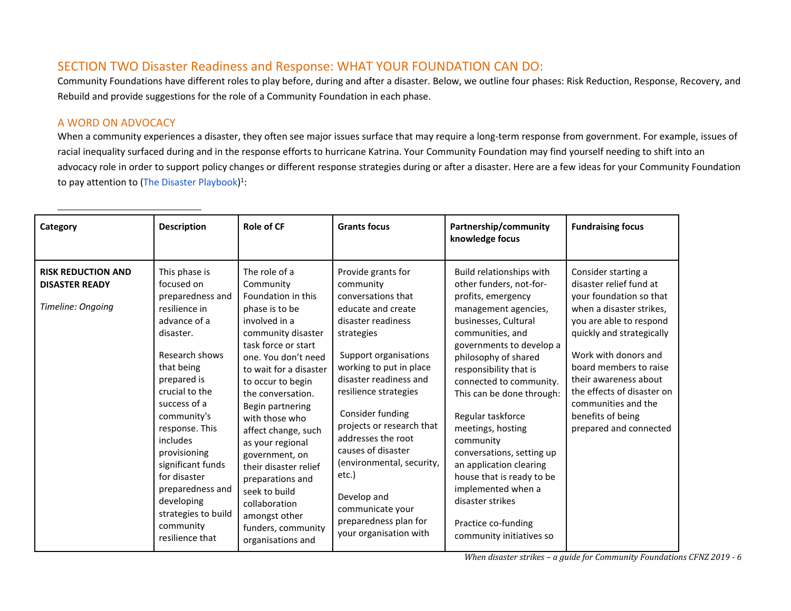# SECTION TWO Disaster Readiness and Response: WHAT YOUR FOUNDATION CAN DO:

Community Foundations have different roles to play before, during and after a disaster. Below, we outline four phases: Risk Reduction, Response, Recovery, and Rebuild and provide suggestions for the role of a Community Foundation in each phase.

#### A WORD ON ADVOCACY

When a community experiences a disaster, they often see major issues surface that may require a long-term response from government. For example, issues of racial inequality surfaced during and in the response efforts to hurricane Katrina. Your Community Foundation may find yourself needing to shift into an advocacy role in order to support policy changes or different response strategies during or after a disaster. Here are a few ideas for your Community Foundation to pay attention to [\(The Disaster Playbook\)](http://disasterplaybook.org/) 1 :

| Category                                                                | <b>Description</b>                                                                                                                                                                                                                                                                                                                                                        | <b>Role of CF</b>                                                                                                                                                                                                                                                                                                                                                                                                                                                         | <b>Grants focus</b>                                                                                                                                                                                                                                                                                                                                                                                                                             | Partnership/community<br>knowledge focus                                                                                                                                                                                                                                                                                                                                                                                                                                                                                     | <b>Fundraising focus</b>                                                                                                                                                                                                                                                                                                                     |
|-------------------------------------------------------------------------|---------------------------------------------------------------------------------------------------------------------------------------------------------------------------------------------------------------------------------------------------------------------------------------------------------------------------------------------------------------------------|---------------------------------------------------------------------------------------------------------------------------------------------------------------------------------------------------------------------------------------------------------------------------------------------------------------------------------------------------------------------------------------------------------------------------------------------------------------------------|-------------------------------------------------------------------------------------------------------------------------------------------------------------------------------------------------------------------------------------------------------------------------------------------------------------------------------------------------------------------------------------------------------------------------------------------------|------------------------------------------------------------------------------------------------------------------------------------------------------------------------------------------------------------------------------------------------------------------------------------------------------------------------------------------------------------------------------------------------------------------------------------------------------------------------------------------------------------------------------|----------------------------------------------------------------------------------------------------------------------------------------------------------------------------------------------------------------------------------------------------------------------------------------------------------------------------------------------|
| <b>RISK REDUCTION AND</b><br><b>DISASTER READY</b><br>Timeline: Ongoing | This phase is<br>focused on<br>preparedness and<br>resilience in<br>advance of a<br>disaster.<br>Research shows<br>that being<br>prepared is<br>crucial to the<br>success of a<br>community's<br>response. This<br>includes<br>provisioning<br>significant funds<br>for disaster<br>preparedness and<br>developing<br>strategies to build<br>community<br>resilience that | The role of a<br>Community<br>Foundation in this<br>phase is to be<br>involved in a<br>community disaster<br>task force or start<br>one. You don't need<br>to wait for a disaster<br>to occur to begin<br>the conversation.<br>Begin partnering<br>with those who<br>affect change, such<br>as your regional<br>government, on<br>their disaster relief<br>preparations and<br>seek to build<br>collaboration<br>amongst other<br>funders, community<br>organisations and | Provide grants for<br>community<br>conversations that<br>educate and create<br>disaster readiness<br>strategies<br>Support organisations<br>working to put in place<br>disaster readiness and<br>resilience strategies<br>Consider funding<br>projects or research that<br>addresses the root<br>causes of disaster<br>(environmental, security,<br>etc.)<br>Develop and<br>communicate your<br>preparedness plan for<br>your organisation with | Build relationships with<br>other funders, not-for-<br>profits, emergency<br>management agencies,<br>businesses, Cultural<br>communities, and<br>governments to develop a<br>philosophy of shared<br>responsibility that is<br>connected to community.<br>This can be done through:<br>Regular taskforce<br>meetings, hosting<br>community<br>conversations, setting up<br>an application clearing<br>house that is ready to be<br>implemented when a<br>disaster strikes<br>Practice co-funding<br>community initiatives so | Consider starting a<br>disaster relief fund at<br>your foundation so that<br>when a disaster strikes,<br>you are able to respond<br>quickly and strategically<br>Work with donors and<br>board members to raise<br>their awareness about<br>the effects of disaster on<br>communities and the<br>benefits of being<br>prepared and connected |

*When disaster strikes – a guide for Community Foundations CFNZ 2019 - 6*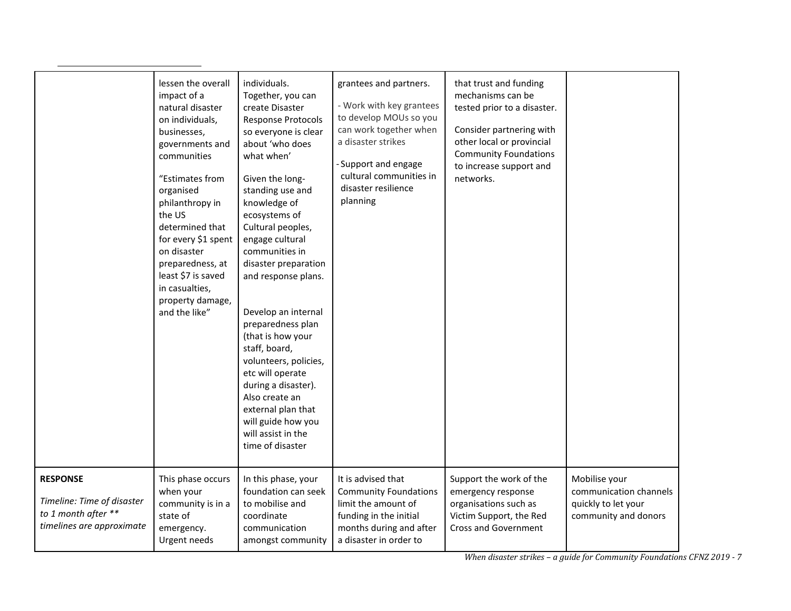|                                                                                                   | lessen the overall<br>impact of a<br>natural disaster<br>on individuals,<br>businesses,<br>governments and<br>communities<br>"Estimates from<br>organised<br>philanthropy in<br>the US<br>determined that<br>for every \$1 spent<br>on disaster<br>preparedness, at<br>least \$7 is saved<br>in casualties,<br>property damage,<br>and the like" | individuals.<br>Together, you can<br>create Disaster<br><b>Response Protocols</b><br>so everyone is clear<br>about 'who does<br>what when'<br>Given the long-<br>standing use and<br>knowledge of<br>ecosystems of<br>Cultural peoples,<br>engage cultural<br>communities in<br>disaster preparation<br>and response plans.<br>Develop an internal<br>preparedness plan<br>(that is how your<br>staff, board,<br>volunteers, policies,<br>etc will operate<br>during a disaster).<br>Also create an<br>external plan that<br>will guide how you<br>will assist in the<br>time of disaster | grantees and partners.<br>- Work with key grantees<br>to develop MOUs so you<br>can work together when<br>a disaster strikes<br>-Support and engage<br>cultural communities in<br>disaster resilience<br>planning | that trust and funding<br>mechanisms can be<br>tested prior to a disaster.<br>Consider partnering with<br>other local or provincial<br><b>Community Foundations</b><br>to increase support and<br>networks. |                                                                                        |
|---------------------------------------------------------------------------------------------------|--------------------------------------------------------------------------------------------------------------------------------------------------------------------------------------------------------------------------------------------------------------------------------------------------------------------------------------------------|-------------------------------------------------------------------------------------------------------------------------------------------------------------------------------------------------------------------------------------------------------------------------------------------------------------------------------------------------------------------------------------------------------------------------------------------------------------------------------------------------------------------------------------------------------------------------------------------|-------------------------------------------------------------------------------------------------------------------------------------------------------------------------------------------------------------------|-------------------------------------------------------------------------------------------------------------------------------------------------------------------------------------------------------------|----------------------------------------------------------------------------------------|
| <b>RESPONSE</b><br>Timeline: Time of disaster<br>to 1 month after **<br>timelines are approximate | This phase occurs<br>when your<br>community is in a<br>state of<br>emergency.<br>Urgent needs                                                                                                                                                                                                                                                    | In this phase, your<br>foundation can seek<br>to mobilise and<br>coordinate<br>communication<br>amongst community                                                                                                                                                                                                                                                                                                                                                                                                                                                                         | It is advised that<br><b>Community Foundations</b><br>limit the amount of<br>funding in the initial<br>months during and after<br>a disaster in order to                                                          | Support the work of the<br>emergency response<br>organisations such as<br>Victim Support, the Red<br><b>Cross and Government</b>                                                                            | Mobilise your<br>communication channels<br>quickly to let your<br>community and donors |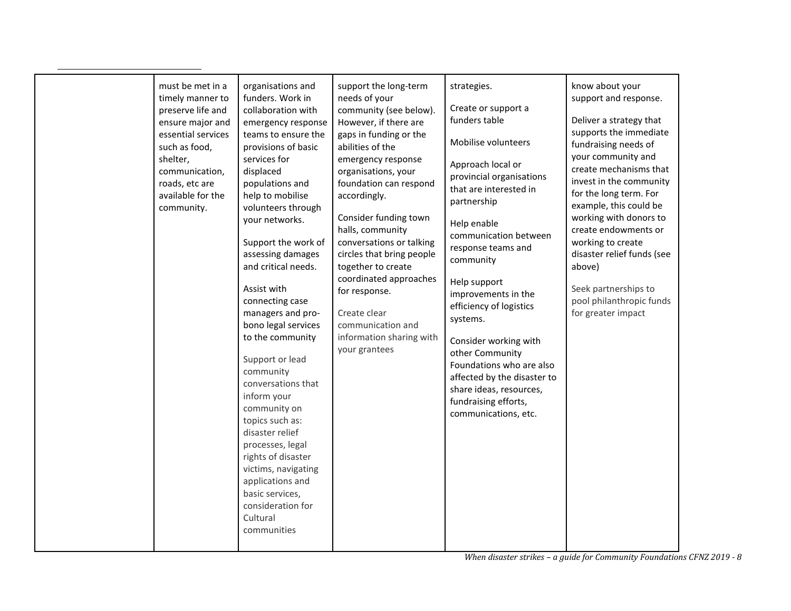| must be met in a<br>timely manner to<br>preserve life and<br>ensure major and<br>essential services<br>such as food,<br>shelter,<br>communication,<br>roads, etc are<br>available for the<br>community. | organisations and<br>funders. Work in<br>collaboration with<br>emergency response<br>teams to ensure the<br>provisions of basic<br>services for<br>displaced<br>populations and<br>help to mobilise<br>volunteers through<br>your networks.<br>Support the work of<br>assessing damages<br>and critical needs.<br>Assist with<br>connecting case<br>managers and pro-<br>bono legal services<br>to the community<br>Support or lead<br>community<br>conversations that<br>inform your<br>community on<br>topics such as:<br>disaster relief<br>processes, legal<br>rights of disaster<br>victims, navigating<br>applications and<br>basic services,<br>consideration for<br>Cultural<br>communities | support the long-term<br>needs of your<br>community (see below).<br>However, if there are<br>gaps in funding or the<br>abilities of the<br>emergency response<br>organisations, your<br>foundation can respond<br>accordingly.<br>Consider funding town<br>halls, community<br>conversations or talking<br>circles that bring people<br>together to create<br>coordinated approaches<br>for response.<br>Create clear<br>communication and<br>information sharing with<br>your grantees | strategies.<br>Create or support a<br>funders table<br>Mobilise volunteers<br>Approach local or<br>provincial organisations<br>that are interested in<br>partnership<br>Help enable<br>communication between<br>response teams and<br>community<br>Help support<br>improvements in the<br>efficiency of logistics<br>systems.<br>Consider working with<br>other Community<br>Foundations who are also<br>affected by the disaster to<br>share ideas, resources,<br>fundraising efforts,<br>communications, etc. | know about your<br>support and response.<br>Deliver a strategy that<br>supports the immediate<br>fundraising needs of<br>your community and<br>create mechanisms that<br>invest in the community<br>for the long term. For<br>example, this could be<br>working with donors to<br>create endowments or<br>working to create<br>disaster relief funds (see<br>above)<br>Seek partnerships to<br>pool philanthropic funds<br>for greater impact |
|---------------------------------------------------------------------------------------------------------------------------------------------------------------------------------------------------------|-----------------------------------------------------------------------------------------------------------------------------------------------------------------------------------------------------------------------------------------------------------------------------------------------------------------------------------------------------------------------------------------------------------------------------------------------------------------------------------------------------------------------------------------------------------------------------------------------------------------------------------------------------------------------------------------------------|-----------------------------------------------------------------------------------------------------------------------------------------------------------------------------------------------------------------------------------------------------------------------------------------------------------------------------------------------------------------------------------------------------------------------------------------------------------------------------------------|-----------------------------------------------------------------------------------------------------------------------------------------------------------------------------------------------------------------------------------------------------------------------------------------------------------------------------------------------------------------------------------------------------------------------------------------------------------------------------------------------------------------|-----------------------------------------------------------------------------------------------------------------------------------------------------------------------------------------------------------------------------------------------------------------------------------------------------------------------------------------------------------------------------------------------------------------------------------------------|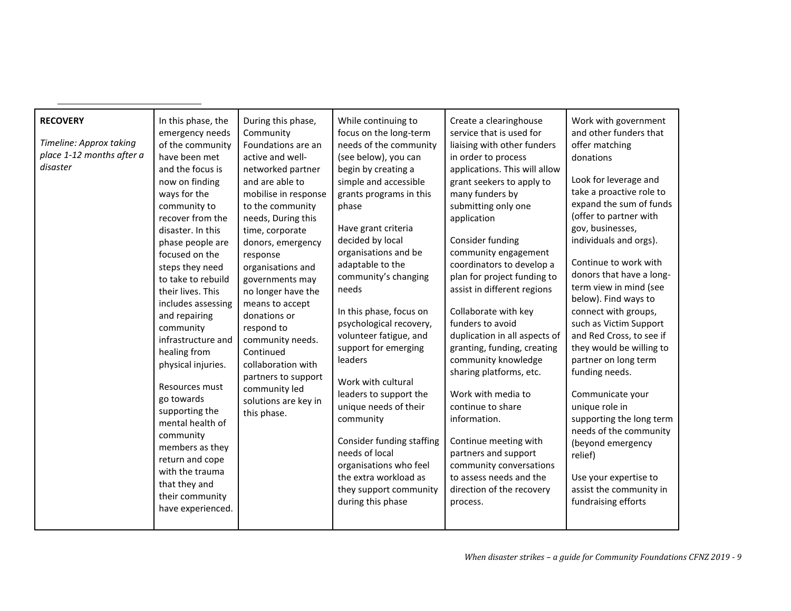| <b>RECOVERY</b><br>Timeline: Approx taking<br>place 1-12 months after a<br>disaster | In this phase, the<br>emergency needs<br>of the community<br>have been met<br>and the focus is<br>now on finding<br>ways for the<br>community to<br>recover from the<br>disaster. In this<br>phase people are<br>focused on the<br>steps they need<br>to take to rebuild<br>their lives. This<br>includes assessing<br>and repairing<br>community<br>infrastructure and<br>healing from<br>physical injuries.<br>Resources must<br>go towards | During this phase,<br>Community<br>Foundations are an<br>active and well-<br>networked partner<br>and are able to<br>mobilise in response<br>to the community<br>needs, During this<br>time, corporate<br>donors, emergency<br>response<br>organisations and<br>governments may<br>no longer have the<br>means to accept<br>donations or<br>respond to<br>community needs.<br>Continued<br>collaboration with<br>partners to support<br>community led | While continuing to<br>focus on the long-term<br>needs of the community<br>(see below), you can<br>begin by creating a<br>simple and accessible<br>grants programs in this<br>phase<br>Have grant criteria<br>decided by local<br>organisations and be<br>adaptable to the<br>community's changing<br>needs<br>In this phase, focus on<br>psychological recovery,<br>volunteer fatigue, and<br>support for emerging<br>leaders<br>Work with cultural<br>leaders to support the | Create a clearinghouse<br>service that is used for<br>liaising with other funders<br>in order to process<br>applications. This will allow<br>grant seekers to apply to<br>many funders by<br>submitting only one<br>application<br>Consider funding<br>community engagement<br>coordinators to develop a<br>plan for project funding to<br>assist in different regions<br>Collaborate with key<br>funders to avoid<br>duplication in all aspects of<br>granting, funding, creating<br>community knowledge<br>sharing platforms, etc.<br>Work with media to | Work with government<br>and other funders that<br>offer matching<br>donations<br>Look for leverage and<br>take a proactive role to<br>expand the sum of funds<br>(offer to partner with<br>gov, businesses,<br>individuals and orgs).<br>Continue to work with<br>donors that have a long-<br>term view in mind (see<br>below). Find ways to<br>connect with groups,<br>such as Victim Support<br>and Red Cross, to see if<br>they would be willing to<br>partner on long term<br>funding needs.<br>Communicate your |
|-------------------------------------------------------------------------------------|-----------------------------------------------------------------------------------------------------------------------------------------------------------------------------------------------------------------------------------------------------------------------------------------------------------------------------------------------------------------------------------------------------------------------------------------------|-------------------------------------------------------------------------------------------------------------------------------------------------------------------------------------------------------------------------------------------------------------------------------------------------------------------------------------------------------------------------------------------------------------------------------------------------------|--------------------------------------------------------------------------------------------------------------------------------------------------------------------------------------------------------------------------------------------------------------------------------------------------------------------------------------------------------------------------------------------------------------------------------------------------------------------------------|------------------------------------------------------------------------------------------------------------------------------------------------------------------------------------------------------------------------------------------------------------------------------------------------------------------------------------------------------------------------------------------------------------------------------------------------------------------------------------------------------------------------------------------------------------|----------------------------------------------------------------------------------------------------------------------------------------------------------------------------------------------------------------------------------------------------------------------------------------------------------------------------------------------------------------------------------------------------------------------------------------------------------------------------------------------------------------------|
|                                                                                     |                                                                                                                                                                                                                                                                                                                                                                                                                                               |                                                                                                                                                                                                                                                                                                                                                                                                                                                       |                                                                                                                                                                                                                                                                                                                                                                                                                                                                                |                                                                                                                                                                                                                                                                                                                                                                                                                                                                                                                                                            |                                                                                                                                                                                                                                                                                                                                                                                                                                                                                                                      |
|                                                                                     |                                                                                                                                                                                                                                                                                                                                                                                                                                               |                                                                                                                                                                                                                                                                                                                                                                                                                                                       |                                                                                                                                                                                                                                                                                                                                                                                                                                                                                |                                                                                                                                                                                                                                                                                                                                                                                                                                                                                                                                                            |                                                                                                                                                                                                                                                                                                                                                                                                                                                                                                                      |
|                                                                                     |                                                                                                                                                                                                                                                                                                                                                                                                                                               |                                                                                                                                                                                                                                                                                                                                                                                                                                                       |                                                                                                                                                                                                                                                                                                                                                                                                                                                                                |                                                                                                                                                                                                                                                                                                                                                                                                                                                                                                                                                            |                                                                                                                                                                                                                                                                                                                                                                                                                                                                                                                      |
|                                                                                     |                                                                                                                                                                                                                                                                                                                                                                                                                                               |                                                                                                                                                                                                                                                                                                                                                                                                                                                       |                                                                                                                                                                                                                                                                                                                                                                                                                                                                                |                                                                                                                                                                                                                                                                                                                                                                                                                                                                                                                                                            |                                                                                                                                                                                                                                                                                                                                                                                                                                                                                                                      |
|                                                                                     |                                                                                                                                                                                                                                                                                                                                                                                                                                               |                                                                                                                                                                                                                                                                                                                                                                                                                                                       |                                                                                                                                                                                                                                                                                                                                                                                                                                                                                |                                                                                                                                                                                                                                                                                                                                                                                                                                                                                                                                                            |                                                                                                                                                                                                                                                                                                                                                                                                                                                                                                                      |
|                                                                                     |                                                                                                                                                                                                                                                                                                                                                                                                                                               |                                                                                                                                                                                                                                                                                                                                                                                                                                                       |                                                                                                                                                                                                                                                                                                                                                                                                                                                                                |                                                                                                                                                                                                                                                                                                                                                                                                                                                                                                                                                            |                                                                                                                                                                                                                                                                                                                                                                                                                                                                                                                      |
|                                                                                     |                                                                                                                                                                                                                                                                                                                                                                                                                                               |                                                                                                                                                                                                                                                                                                                                                                                                                                                       |                                                                                                                                                                                                                                                                                                                                                                                                                                                                                |                                                                                                                                                                                                                                                                                                                                                                                                                                                                                                                                                            |                                                                                                                                                                                                                                                                                                                                                                                                                                                                                                                      |
|                                                                                     |                                                                                                                                                                                                                                                                                                                                                                                                                                               |                                                                                                                                                                                                                                                                                                                                                                                                                                                       |                                                                                                                                                                                                                                                                                                                                                                                                                                                                                |                                                                                                                                                                                                                                                                                                                                                                                                                                                                                                                                                            |                                                                                                                                                                                                                                                                                                                                                                                                                                                                                                                      |
|                                                                                     |                                                                                                                                                                                                                                                                                                                                                                                                                                               |                                                                                                                                                                                                                                                                                                                                                                                                                                                       |                                                                                                                                                                                                                                                                                                                                                                                                                                                                                |                                                                                                                                                                                                                                                                                                                                                                                                                                                                                                                                                            |                                                                                                                                                                                                                                                                                                                                                                                                                                                                                                                      |
|                                                                                     |                                                                                                                                                                                                                                                                                                                                                                                                                                               |                                                                                                                                                                                                                                                                                                                                                                                                                                                       |                                                                                                                                                                                                                                                                                                                                                                                                                                                                                |                                                                                                                                                                                                                                                                                                                                                                                                                                                                                                                                                            |                                                                                                                                                                                                                                                                                                                                                                                                                                                                                                                      |
|                                                                                     |                                                                                                                                                                                                                                                                                                                                                                                                                                               |                                                                                                                                                                                                                                                                                                                                                                                                                                                       |                                                                                                                                                                                                                                                                                                                                                                                                                                                                                |                                                                                                                                                                                                                                                                                                                                                                                                                                                                                                                                                            |                                                                                                                                                                                                                                                                                                                                                                                                                                                                                                                      |
|                                                                                     |                                                                                                                                                                                                                                                                                                                                                                                                                                               |                                                                                                                                                                                                                                                                                                                                                                                                                                                       |                                                                                                                                                                                                                                                                                                                                                                                                                                                                                |                                                                                                                                                                                                                                                                                                                                                                                                                                                                                                                                                            |                                                                                                                                                                                                                                                                                                                                                                                                                                                                                                                      |
|                                                                                     | supporting the                                                                                                                                                                                                                                                                                                                                                                                                                                | solutions are key in<br>this phase.                                                                                                                                                                                                                                                                                                                                                                                                                   | unique needs of their                                                                                                                                                                                                                                                                                                                                                                                                                                                          | continue to share                                                                                                                                                                                                                                                                                                                                                                                                                                                                                                                                          | unique role in                                                                                                                                                                                                                                                                                                                                                                                                                                                                                                       |
|                                                                                     | mental health of                                                                                                                                                                                                                                                                                                                                                                                                                              |                                                                                                                                                                                                                                                                                                                                                                                                                                                       | community                                                                                                                                                                                                                                                                                                                                                                                                                                                                      | information.                                                                                                                                                                                                                                                                                                                                                                                                                                                                                                                                               | supporting the long term                                                                                                                                                                                                                                                                                                                                                                                                                                                                                             |
|                                                                                     | community                                                                                                                                                                                                                                                                                                                                                                                                                                     |                                                                                                                                                                                                                                                                                                                                                                                                                                                       | Consider funding staffing                                                                                                                                                                                                                                                                                                                                                                                                                                                      | Continue meeting with                                                                                                                                                                                                                                                                                                                                                                                                                                                                                                                                      | needs of the community                                                                                                                                                                                                                                                                                                                                                                                                                                                                                               |
|                                                                                     | members as they                                                                                                                                                                                                                                                                                                                                                                                                                               |                                                                                                                                                                                                                                                                                                                                                                                                                                                       | needs of local                                                                                                                                                                                                                                                                                                                                                                                                                                                                 | partners and support                                                                                                                                                                                                                                                                                                                                                                                                                                                                                                                                       | (beyond emergency<br>relief)                                                                                                                                                                                                                                                                                                                                                                                                                                                                                         |
|                                                                                     | return and cope                                                                                                                                                                                                                                                                                                                                                                                                                               |                                                                                                                                                                                                                                                                                                                                                                                                                                                       | organisations who feel                                                                                                                                                                                                                                                                                                                                                                                                                                                         | community conversations                                                                                                                                                                                                                                                                                                                                                                                                                                                                                                                                    |                                                                                                                                                                                                                                                                                                                                                                                                                                                                                                                      |
|                                                                                     | with the trauma                                                                                                                                                                                                                                                                                                                                                                                                                               |                                                                                                                                                                                                                                                                                                                                                                                                                                                       | the extra workload as                                                                                                                                                                                                                                                                                                                                                                                                                                                          | to assess needs and the                                                                                                                                                                                                                                                                                                                                                                                                                                                                                                                                    | Use your expertise to                                                                                                                                                                                                                                                                                                                                                                                                                                                                                                |
|                                                                                     | that they and<br>their community                                                                                                                                                                                                                                                                                                                                                                                                              |                                                                                                                                                                                                                                                                                                                                                                                                                                                       | they support community                                                                                                                                                                                                                                                                                                                                                                                                                                                         | direction of the recovery                                                                                                                                                                                                                                                                                                                                                                                                                                                                                                                                  | assist the community in                                                                                                                                                                                                                                                                                                                                                                                                                                                                                              |
|                                                                                     | have experienced.                                                                                                                                                                                                                                                                                                                                                                                                                             |                                                                                                                                                                                                                                                                                                                                                                                                                                                       | during this phase                                                                                                                                                                                                                                                                                                                                                                                                                                                              | process.                                                                                                                                                                                                                                                                                                                                                                                                                                                                                                                                                   | fundraising efforts                                                                                                                                                                                                                                                                                                                                                                                                                                                                                                  |
|                                                                                     |                                                                                                                                                                                                                                                                                                                                                                                                                                               |                                                                                                                                                                                                                                                                                                                                                                                                                                                       |                                                                                                                                                                                                                                                                                                                                                                                                                                                                                |                                                                                                                                                                                                                                                                                                                                                                                                                                                                                                                                                            |                                                                                                                                                                                                                                                                                                                                                                                                                                                                                                                      |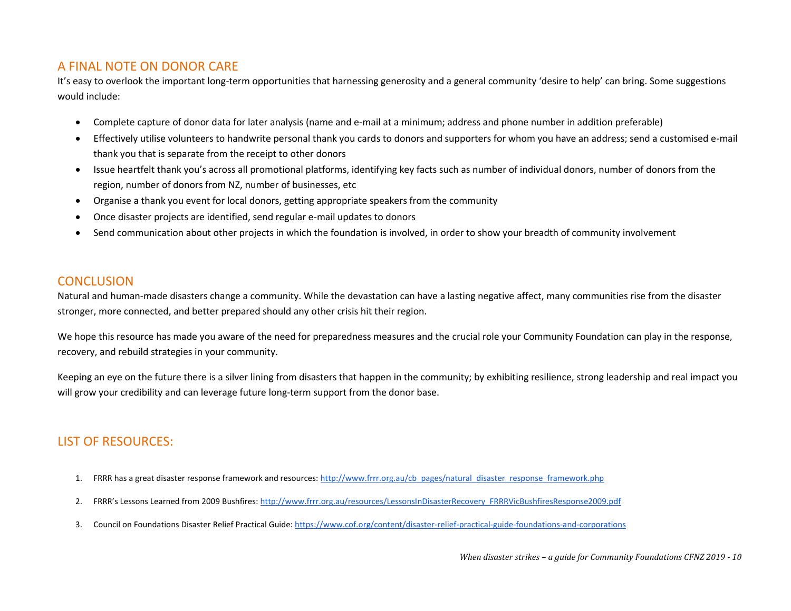## A FINAL NOTE ON DONOR CARE

It's easy to overlook the important long-term opportunities that harnessing generosity and a general community 'desire to help' can bring. Some suggestions would include:

- Complete capture of donor data for later analysis (name and e-mail at a minimum; address and phone number in addition preferable)
- Effectively utilise volunteers to handwrite personal thank you cards to donors and supporters for whom you have an address; send a customised e-mail thank you that is separate from the receipt to other donors
- Issue heartfelt thank you's across all promotional platforms, identifying key facts such as number of individual donors, number of donors from the region, number of donors from NZ, number of businesses, etc
- Organise a thank you event for local donors, getting appropriate speakers from the community
- Once disaster projects are identified, send regular e-mail updates to donors
- Send communication about other projects in which the foundation is involved, in order to show your breadth of community involvement

## **CONCLUSION**

Natural and human-made disasters change a community. While the devastation can have a lasting negative affect, many communities rise from the disaster stronger, more connected, and better prepared should any other crisis hit their region.

We hope this resource has made you aware of the need for preparedness measures and the crucial role your Community Foundation can play in the response, recovery, and rebuild strategies in your community.

Keeping an eye on the future there is a silver lining from disasters that happen in the community; by exhibiting resilience, strong leadership and real impact you will grow your credibility and can leverage future long-term support from the donor base.

# LIST OF RESOURCES:

- 1. FRRR has a great disaster response framework and resources: [http://www.frrr.org.au/cb\\_pages/natural\\_disaster\\_response\\_framework.php](http://www.frrr.org.au/cb_pages/natural_disaster_response_framework.php)
- 2. FRRR's Lessons Learned from 2009 Bushfires[: http://www.frrr.org.au/resources/LessonsInDisasterRecovery\\_FRRRVicBushfiresResponse2009.pdf](http://www.frrr.org.au/resources/LessonsInDisasterRecovery_FRRRVicBushfiresResponse2009.pdf)
- 3. Council on Foundations Disaster Relief Practical Guide[: https://www.cof.org/content/disaster-relief-practical-guide-foundations-and-corporations](https://www.cof.org/content/disaster-relief-practical-guide-foundations-and-corporations)

*When disaster strikes – a guide for Community Foundations CFNZ 2019 - 10*